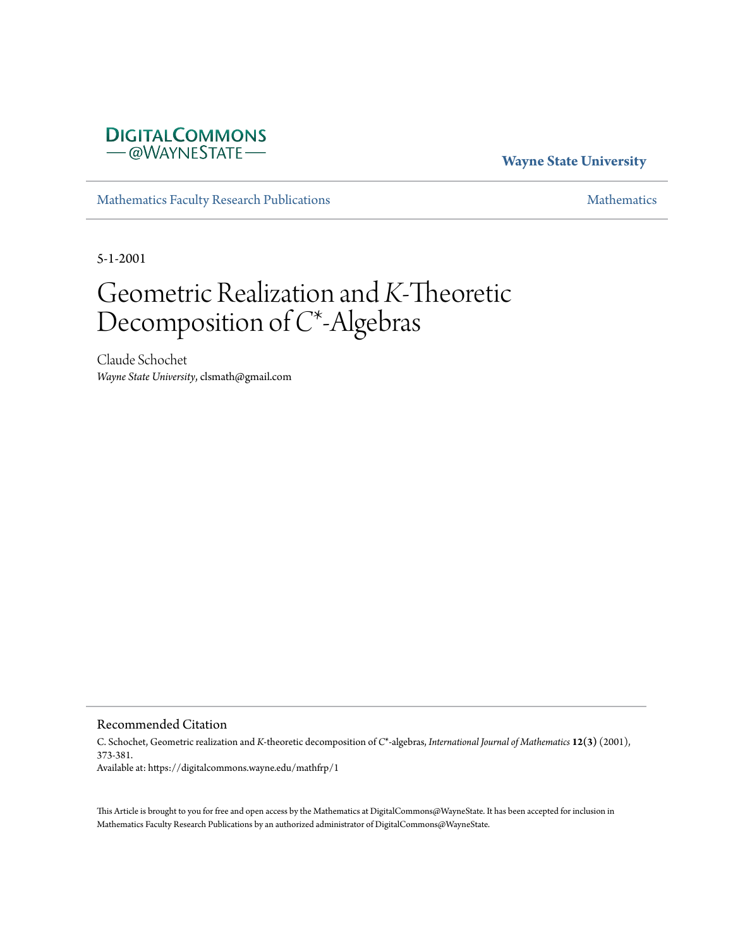# **DIGITALCOMMONS** -@WAYNESTATE-

## **Wayne State University**

[Mathematics Faculty Research Publications](https://digitalcommons.wayne.edu/mathfrp) **[Mathematics](https://digitalcommons.wayne.edu/math)** Mathematics

5-1-2001

# Geometric Realization and *K*-Theoretic Decomposition of *C*\*-Algebras

Claude Schochet *Wayne State University*, clsmath@gmail.com

Recommended Citation

C. Schochet, Geometric realization and *K*-theoretic decomposition of *C*\*-algebras, *International Journal of Mathematics* **12(3)** (2001), 373-381. Available at: https://digitalcommons.wayne.edu/mathfrp/1

This Article is brought to you for free and open access by the Mathematics at DigitalCommons@WayneState. It has been accepted for inclusion in Mathematics Faculty Research Publications by an authorized administrator of DigitalCommons@WayneState.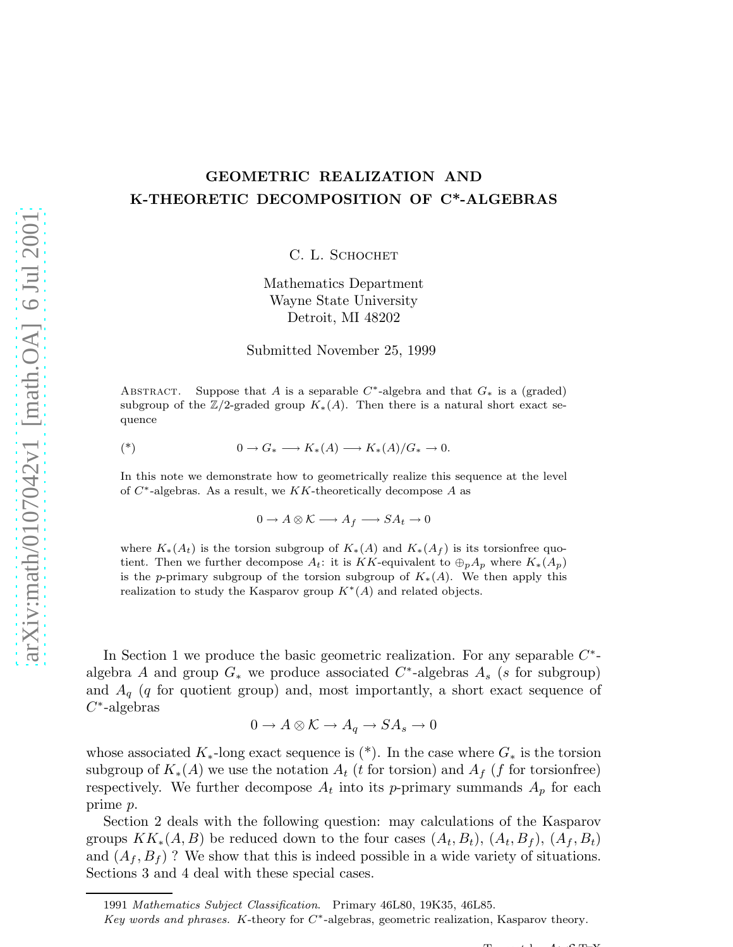# GEOMETRIC REALIZATION AND K-THEORETIC DECOMPOSITION OF C\*-ALGEBRAS

C. L. SCHOCHET

Mathematics Department Wayne State University Detroit, MI 48202

Submitted November 25, 1999

ABSTRACT. Suppose that A is a separable  $C^*$ -algebra and that  $G_*$  is a (graded) subgroup of the  $\mathbb{Z}/2$ -graded group  $K_*(A)$ . Then there is a natural short exact sequence

$$
(*)\qquad \qquad 0 \to G_* \longrightarrow K_*(A) \longrightarrow K_*(A)/G_* \to 0.
$$

In this note we demonstrate how to geometrically realize this sequence at the level of  $C^*$ -algebras. As a result, we KK-theoretically decompose A as

 $0 \to A \otimes \mathcal{K} \longrightarrow A_f \longrightarrow SA_t \to 0$ 

where  $K_*(A_t)$  is the torsion subgroup of  $K_*(A)$  and  $K_*(A_f)$  is its torsionfree quotient. Then we further decompose  $A_t$ : it is KK-equivalent to  $\bigoplus_p A_p$  where  $K_*(A_p)$ is the p-primary subgroup of the torsion subgroup of  $K_*(A)$ . We then apply this realization to study the Kasparov group  $K^*(A)$  and related objects.

In Section 1 we produce the basic geometric realization. For any separable  $C^*$ algebra A and group  $G_*$  we produce associated  $C^*$ -algebras  $A_s$  (s for subgroup) and  $A_q$  (q for quotient group) and, most importantly, a short exact sequence of  $C^*$ -algebras

$$
0 \to A \otimes \mathcal{K} \to A_q \to SA_s \to 0
$$

whose associated  $K_*$ -long exact sequence is  $(*)$ . In the case where  $G_*$  is the torsion subgroup of  $K_*(A)$  we use the notation  $A_t$  (t for torsion) and  $A_f$  (f for torsionfree) respectively. We further decompose  $A_t$  into its p-primary summands  $A_p$  for each prime p.

Section 2 deals with the following question: may calculations of the Kasparov groups  $KK_*(A, B)$  be reduced down to the four cases  $(A_t, B_t)$ ,  $(A_t, B_f)$ ,  $(A_f, B_t)$ and  $(A_f, B_f)$  ? We show that this is indeed possible in a wide variety of situations. Sections 3 and 4 deal with these special cases.

 $T<sub>1</sub>$  A  $C<sub>T</sub>$  V

<sup>1991</sup> *Mathematics Subject Classification*. Primary 46L80, 19K35, 46L85.

*Key words and phrases.* K-theory for C<sup>∗</sup> -algebras, geometric realization, Kasparov theory.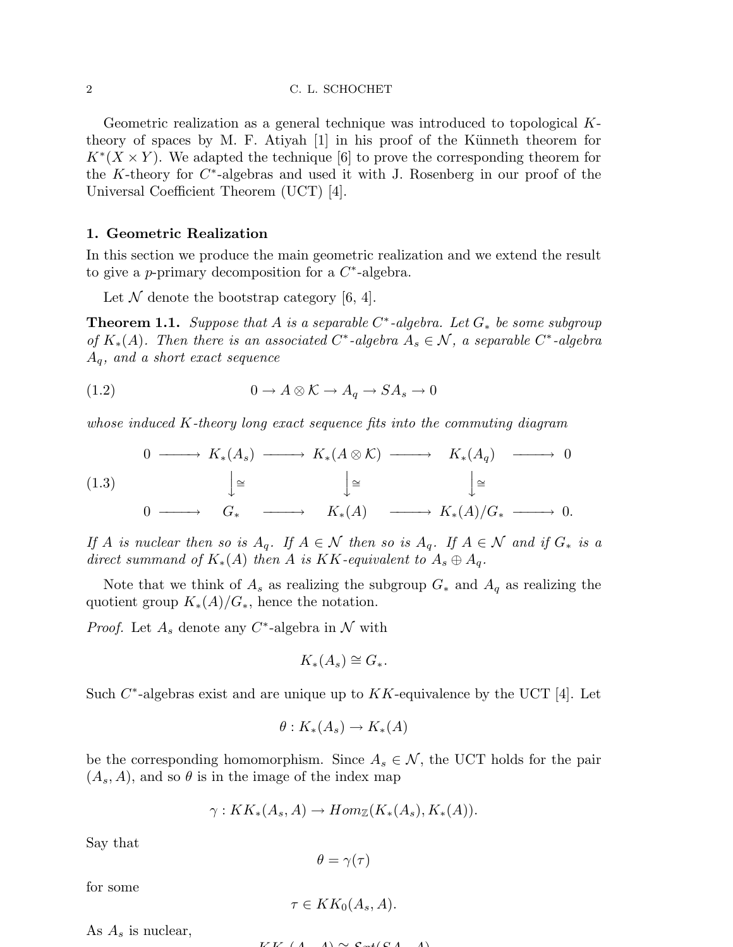#### 2 C. L. SCHOCHET

Geometric realization as a general technique was introduced to topological Ktheory of spaces by M. F. Atiyah  $[1]$  in his proof of the Künneth theorem for  $K^*(X \times Y)$ . We adapted the technique [6] to prove the corresponding theorem for the K-theory for  $C^*$ -algebras and used it with J. Rosenberg in our proof of the Universal Coefficient Theorem (UCT) [4].

### 1. Geometric Realization

In this section we produce the main geometric realization and we extend the result to give a p-primary decomposition for a  $C^*$ -algebra.

Let  $\mathcal N$  denote the bootstrap category [6, 4].

Theorem 1.1. *Suppose that* A *is a separable* C ∗ *-algebra. Let* G<sup>∗</sup> *be some subgroup of*  $K_*(A)$ . Then there is an associated C<sup>\*</sup>-algebra  $A_s \in \mathcal{N}$ , a separable C<sup>\*</sup>-algebra Aq*, and a short exact sequence*

(1.2) 
$$
0 \to A \otimes \mathcal{K} \to A_q \to SA_s \to 0
$$

*whose induced* K*-theory long exact sequence fits into the commuting diagram*

$$
\begin{array}{ccccccccc}\n & 0 & \xrightarrow{\hspace{25mm}} & K_*(A_s) & \xrightarrow{\hspace{25mm}} & K_*(A \otimes \mathcal{K}) & \xrightarrow{\hspace{25mm}} & K_*(A_q) & \xrightarrow{\hspace{25mm}} & 0 \\
 & & \downarrow^{\cong} & & \downarrow^{\cong} & & \downarrow^{\cong} & & \\
 & 0 & \xrightarrow{\hspace{25mm}} & G_* & \xrightarrow{\hspace{25mm}} & K_*(A) & \xrightarrow{\hspace{25mm}} & K_*(A)/G_* & \xrightarrow{\hspace{25mm}} & 0.\n\end{array}
$$

*If* A *is nuclear then so is*  $A_q$ . *If*  $A \in \mathcal{N}$  *then so is*  $A_q$ . *If*  $A \in \mathcal{N}$  *and if*  $G_*$  *is a direct summand of*  $K_*(A)$  *then* A *is*  $KK$ -equivalent to  $A_s \oplus A_q$ .

Note that we think of  $A_s$  as realizing the subgroup  $G_*$  and  $A_q$  as realizing the quotient group  $K_*(A)/G_*$ , hence the notation.

*Proof.* Let  $A_s$  denote any  $C^*$ -algebra in  $\mathcal N$  with

$$
K_*(A_s) \cong G_*.
$$

Such  $C^*$ -algebras exist and are unique up to  $KK$ -equivalence by the UCT [4]. Let

$$
\theta: K_*(A_s) \to K_*(A)
$$

be the corresponding homomorphism. Since  $A_s \in \mathcal{N}$ , the UCT holds for the pair  $(A_s, A)$ , and so  $\theta$  is in the image of the index map

$$
\gamma: KK_*(A_s, A) \to Hom_{\mathbb{Z}}(K_*(A_s), K_*(A)).
$$

Say that

$$
\theta = \gamma(\tau)
$$

for some

$$
\tau \in KK_0(A_s, A).
$$

As  $A_s$  is nuclear,

$$
V V (A \mid A) \sim \mathcal{E}_{\text{ref}}(C A \mid A)
$$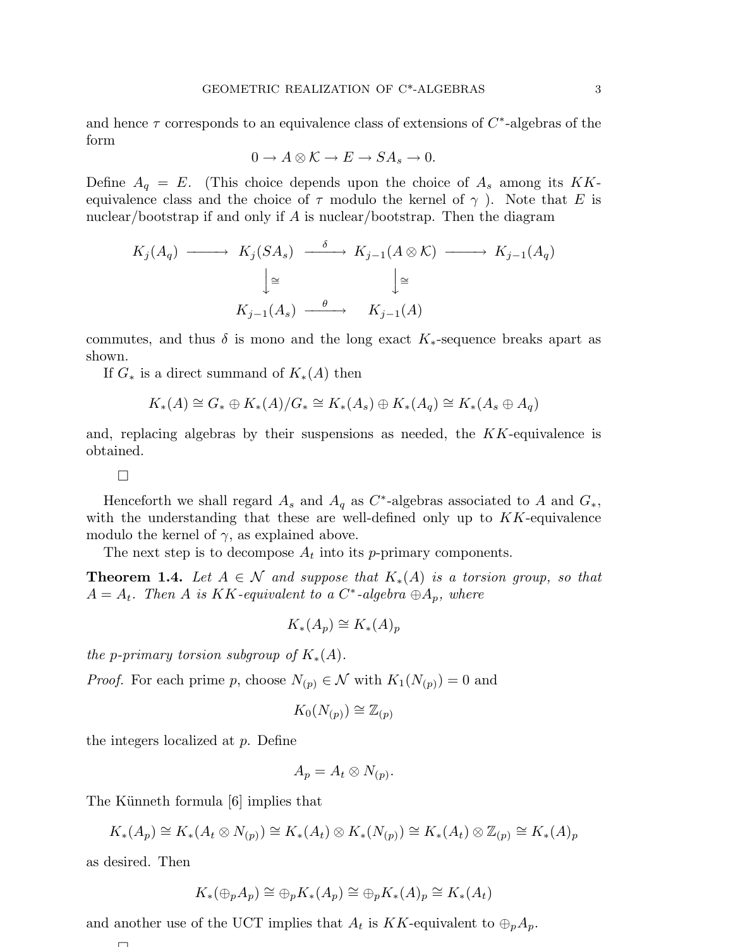and hence  $\tau$  corresponds to an equivalence class of extensions of  $C^*$ -algebras of the form

$$
0 \to A \otimes \mathcal{K} \to E \to SA_s \to 0.
$$

Define  $A_q = E$ . (This choice depends upon the choice of  $A_s$  among its KKequivalence class and the choice of  $\tau$  modulo the kernel of  $\gamma$ ). Note that E is nuclear/bootstrap if and only if A is nuclear/bootstrap. Then the diagram

$$
K_j(A_q) \longrightarrow K_j(SA_s) \longrightarrow K_{j-1}(A \otimes \mathcal{K}) \longrightarrow K_{j-1}(A_q)
$$

$$
\downarrow \cong \qquad \qquad \downarrow \cong
$$

$$
K_{j-1}(A_s) \longrightarrow K_{j-1}(A)
$$

commutes, and thus  $\delta$  is mono and the long exact  $K_*$ -sequence breaks apart as shown.

If  $G_*$  is a direct summand of  $K_*(A)$  then

$$
K_*(A) \cong G_* \oplus K_*(A)/G_* \cong K_*(A_s) \oplus K_*(A_q) \cong K_*(A_s \oplus A_q)
$$

and, replacing algebras by their suspensions as needed, the  $KK$ -equivalence is obtained.

 $\Box$ 

Henceforth we shall regard  $A_s$  and  $A_q$  as  $C^*$ -algebras associated to A and  $G_*,$ with the understanding that these are well-defined only up to  $KK$ -equivalence modulo the kernel of  $\gamma$ , as explained above.

The next step is to decompose  $A_t$  into its p-primary components.

**Theorem 1.4.** Let  $A \in \mathcal{N}$  and suppose that  $K_*(A)$  is a torsion group, so that  $A = A_t$ . Then A is KK-equivalent to a  $C^*$ -algebra  $\oplus A_p$ , where

$$
K_*(A_p) \cong K_*(A)_p
$$

*the p-primary torsion subgroup of*  $K_*(A)$ *.* 

*Proof.* For each prime p, choose  $N_{(p)} \in \mathcal{N}$  with  $K_1(N_{(p)}) = 0$  and

$$
K_0(N_{(p)}) \cong \mathbb{Z}_{(p)}
$$

the integers localized at p. Define

$$
A_p = A_t \otimes N_{(p)}.
$$

The Künneth formula  $[6]$  implies that

$$
K_*(A_p) \cong K_*(A_t \otimes N_{(p)}) \cong K_*(A_t) \otimes K_*(N_{(p)}) \cong K_*(A_t) \otimes \mathbb{Z}_{(p)} \cong K_*(A)_p
$$

as desired. Then

$$
K_*(\oplus_p A_p) \cong \oplus_p K_*(A_p) \cong \oplus_p K_*(A)_p \cong K_*(A_t)
$$

and another use of the UCT implies that  $A_t$  is KK-equivalent to  $\oplus_p A_p$ .

$$
\Box
$$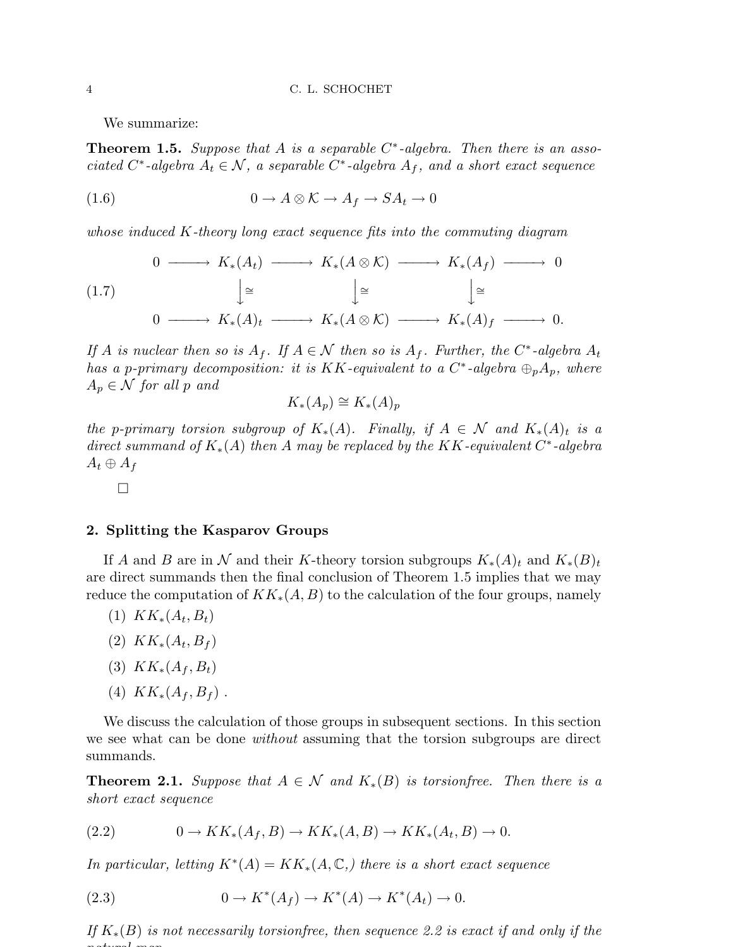We summarize:

Theorem 1.5. *Suppose that* A *is a separable* C ∗ *-algebra. Then there is an associated*  $C^*$ -algebra  $A_t \in \mathcal{N}$ , a separable  $C^*$ -algebra  $A_f$ , and a short exact sequence

(1.6) 
$$
0 \to A \otimes \mathcal{K} \to A_f \to SA_t \to 0
$$

*whose induced* K*-theory long exact sequence fits into the commuting diagram*

$$
\begin{array}{ccccccc}\n & 0 & \longrightarrow & K_*(A_t) & \longrightarrow & K_*(A \otimes \mathcal{K}) & \longrightarrow & K_*(A_f) & \longrightarrow & 0 \\
 & & \downarrow \cong & & \downarrow \cong & & \downarrow \cong & \\
0 & \longrightarrow & K_*(A)_t & \longrightarrow & K_*(A \otimes \mathcal{K}) & \longrightarrow & K_*(A)_f & \longrightarrow & 0.\n\end{array}
$$

*If A is nuclear then so is*  $A_f$ *. If*  $A \in \mathcal{N}$  *then so is*  $A_f$ *. Further, the*  $C^*$ -algebra  $A_t$  $\hat{h}$  as a p-primary decomposition: it is KK-equivalent to a  $C^*$ -algebra  $\oplus_p A_p$ , where  $A_p \in \mathcal{N}$  *for all* p and

$$
K_*(A_p) \cong K_*(A)_p
$$

*the* p-primary torsion subgroup of  $K_*(A)$ . Finally, if  $A \in \mathcal{N}$  and  $K_*(A)_t$  is a *direct summand of* K∗(A) *then* A *may be replaced by the* KK*-equivalent* C ∗ *-algebra*  $A_t \oplus A_f$ 

 $\Box$ 

### 2. Splitting the Kasparov Groups

If A and B are in N and their K-theory torsion subgroups  $K_*(A)_t$  and  $K_*(B)_t$ are direct summands then the final conclusion of Theorem 1.5 implies that we may reduce the computation of  $KK_*(A, B)$  to the calculation of the four groups, namely

- $(1)$   $KK_*(A_t, B_t)$
- (2)  $KK_*(A_t, B_f)$
- (3)  $KK_*(A_f, B_t)$
- (4)  $KK_*(A_f, B_f)$ .

We discuss the calculation of those groups in subsequent sections. In this section we see what can be done *without* assuming that the torsion subgroups are direct summands.

**Theorem 2.1.** *Suppose that*  $A \in \mathcal{N}$  *and*  $K_*(B)$  *is torsionfree. Then there is a short exact sequence*

$$
(2.2) \t\t 0 \to KK_*(A_f, B) \to KK_*(A, B) \to KK_*(A_t, B) \to 0.
$$

*In particular, letting*  $K^*(A) = KK_*(A, \mathbb{C})$ , there is a short exact sequence

(2.3) 
$$
0 \to K^*(A_f) \to K^*(A) \to K^*(A_t) \to 0.
$$

*If*  $K_*(B)$  *is not necessarily torsionfree, then sequence 2.2 is exact if and only if the natural map*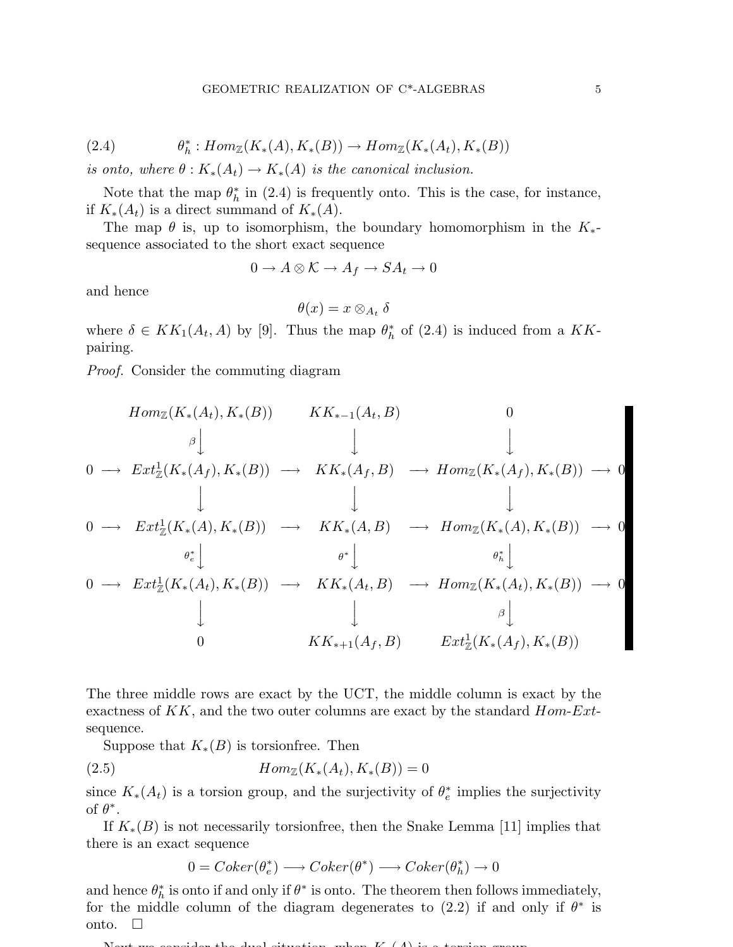(2.4) 
$$
\theta_h^* : Hom_{\mathbb{Z}}(K_*(A), K_*(B)) \to Hom_{\mathbb{Z}}(K_*(A_t), K_*(B))
$$

*is onto, where*  $\theta$  :  $K_*(A_t) \to K_*(A)$  *is the canonical inclusion.* 

Note that the map  $\theta_h^*$  $\frac{1}{h}$  in (2.4) is frequently onto. This is the case, for instance, if  $K_*(A_t)$  is a direct summand of  $K_*(A)$ .

The map  $\theta$  is, up to isomorphism, the boundary homomorphism in the  $K_{*}$ sequence associated to the short exact sequence

$$
0 \to A \otimes \mathcal{K} \to A_f \to SA_t \to 0
$$

and hence

$$
\theta(x)=x\otimes_{A_t}\delta
$$

where  $\delta \in KK_1(A_t, A)$  by [9]. Thus the map  $\theta_h^*$  $\frac{k}{h}$  of (2.4) is induced from a KKpairing.

*Proof.* Consider the commuting diagram

$$
Hom_{\mathbb{Z}}(K_{*}(A_{t}), K_{*}(B)) \qquad KK_{*-1}(A_{t}, B) \qquad 0
$$
\n
$$
\begin{array}{c}\n0 \longrightarrow \operatorname{Ext}_{\mathbb{Z}}^{1}(K_{*}(A_{f}), K_{*}(B)) \longrightarrow \operatorname{KK}_{*}(A_{f}, B) \longrightarrow \operatorname{Hom}_{\mathbb{Z}}(K_{*}(A_{f}), K_{*}(B)) \longrightarrow 0 \\
\downarrow \qquad \qquad \downarrow \qquad \qquad \downarrow \qquad \qquad \downarrow \\
0 \longrightarrow \operatorname{Ext}_{\mathbb{Z}}^{1}(K_{*}(A), K_{*}(B)) \longrightarrow \operatorname{KK}_{*}(A, B) \longrightarrow \operatorname{Hom}_{\mathbb{Z}}(K_{*}(A), K_{*}(B)) \longrightarrow 0 \\
\theta_{e}^{*} \downarrow \qquad \qquad \theta_{e}^{*} \downarrow \qquad \qquad \theta_{h}^{*} \downarrow \\
0 \longrightarrow \operatorname{Ext}_{\mathbb{Z}}^{1}(K_{*}(A_{t}), K_{*}(B)) \longrightarrow \operatorname{KK}_{*}(A_{t}, B) \longrightarrow \operatorname{Hom}_{\mathbb{Z}}(K_{*}(A_{t}), K_{*}(B)) \longrightarrow 0 \\
\downarrow \qquad \qquad \downarrow \qquad \qquad \theta_{h}^{*} \downarrow \qquad \qquad \theta_{h}^{*} \downarrow \\
0 \qquad \qquad \operatorname{KK}_{*+1}(A_{f}, B) \qquad \operatorname{Ext}_{\mathbb{Z}}^{1}(K_{*}(A_{f}), K_{*}(B))\n\end{array}
$$

The three middle rows are exact by the UCT, the middle column is exact by the exactness of  $KK$ , and the two outer columns are exact by the standard  $Hom-Ext$ sequence.

Suppose that  $K_*(B)$  is torsion free. Then

$$
(2.5) \t\t\t Hom_{\mathbb{Z}}(K_*(A_t), K_*(B)) = 0
$$

since  $K_*(A_t)$  is a torsion group, and the surjectivity of  $\theta_e^*$  $_e^*$  implies the surjectivity of  $\theta^*$ .

If  $K_*(B)$  is not necessarily torsion free, then the Snake Lemma [11] implies that there is an exact sequence

$$
0 = Coker(\theta_e^*) \longrightarrow Coker(\theta^*) \longrightarrow Coker(\theta_h^*) \longrightarrow 0
$$

and hence  $\theta_h^*$  $\hat{h}$  is onto if and only if  $\theta^*$  is onto. The theorem then follows immediately, for the middle column of the diagram degenerates to (2.2) if and only if  $\theta^*$  is onto.  $\square$ 

Next we consider the dual situation, when  $K(A)$  is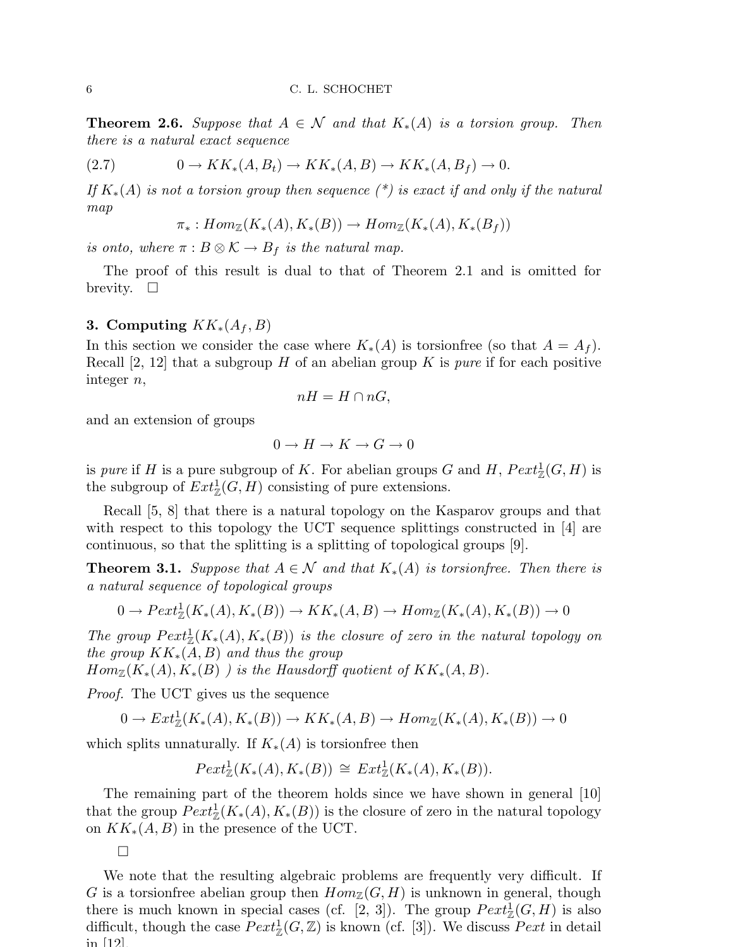**Theorem 2.6.** Suppose that  $A \in \mathcal{N}$  and that  $K_*(A)$  is a torsion group. Then *there is a natural exact sequence*

$$
(2.7) \t\t 0 \to KK_*(A, B_t) \to KK_*(A, B) \to KK_*(A, B_f) \to 0.
$$

*If* K∗(A) *is not a torsion group then sequence (\*) is exact if and only if the natural map*

$$
\pi_*: Hom_{\mathbb{Z}}(K_*(A), K_*(B)) \to Hom_{\mathbb{Z}}(K_*(A), K_*(B_f))
$$

*is onto, where*  $\pi : B \otimes \mathcal{K} \to B_f$  *is the natural map.* 

The proof of this result is dual to that of Theorem 2.1 and is omitted for brevity.  $\square$ 

## 3. Computing  $KK_*(A_f, B)$

In this section we consider the case where  $K_*(A)$  is torsionfree (so that  $A = A_f$ ). Recall  $[2, 12]$  that a subgroup H of an abelian group K is *pure* if for each positive integer n,

$$
nH = H \cap nG,
$$

and an extension of groups

$$
0\to H\to K\to G\to 0
$$

is *pure* if H is a pure subgroup of K. For abelian groups G and H,  $Pext_{\mathbb{Z}}^1(G, H)$  is the subgroup of  $Ext^1_{\mathbb{Z}}(G,H)$  consisting of pure extensions.

Recall [5, 8] that there is a natural topology on the Kasparov groups and that with respect to this topology the UCT sequence splittings constructed in [4] are continuous, so that the splitting is a splitting of topological groups [9].

**Theorem 3.1.** *Suppose that*  $A \in \mathcal{N}$  *and that*  $K_*(A)$  *is torsionfree. Then there is a natural sequence of topological groups*

$$
0 \to \text{Pext}^1_{\mathbb{Z}}(K_*(A), K_*(B)) \to KK_*(A, B) \to \text{Hom}_{\mathbb{Z}}(K_*(A), K_*(B)) \to 0
$$

*The group*  $Pext_{\mathbb{Z}}^1(K_*(A), K_*(B))$  *is the closure of zero in the natural topology on the group* KK∗(A, B) *and thus the group*

 $Hom_{\mathbb{Z}}(K_*(A), K_*(B))$  *is the Hausdorff quotient of*  $KK_*(A, B)$ *.* 

*Proof.* The UCT gives us the sequence

 $0 \to Ext^1_{\mathbb{Z}}(K_*(A), K_*(B)) \to KK_*(A, B) \to Hom_{\mathbb{Z}}(K_*(A), K_*(B)) \to 0$ 

which splits unnaturally. If  $K_*(A)$  is torsion free then

$$
Pext_{\mathbb{Z}}^{1}(K_{*}(A), K_{*}(B)) \cong Ext_{\mathbb{Z}}^{1}(K_{*}(A), K_{*}(B)).
$$

The remaining part of the theorem holds since we have shown in general [10] that the group  $Pext_{\mathbb{Z}}^1(K_*(A), K_*(B))$  is the closure of zero in the natural topology on  $KK_*(A, B)$  in the presence of the UCT.

 $\Box$ 

We note that the resulting algebraic problems are frequently very difficult. If G is a torsion free abelian group then  $Hom_{\mathbb{Z}}(G, H)$  is unknown in general, though there is much known in special cases (cf. [2, 3]). The group  $Pext_{\mathbb{Z}}^1(G, H)$  is also difficult, though the case  $Pext^1_{\mathbb{Z}}(G,\mathbb{Z})$  is known (cf. [3]). We discuss  $Pext$  in detail  $\mathop{\mathrm{in}}$   $|12|$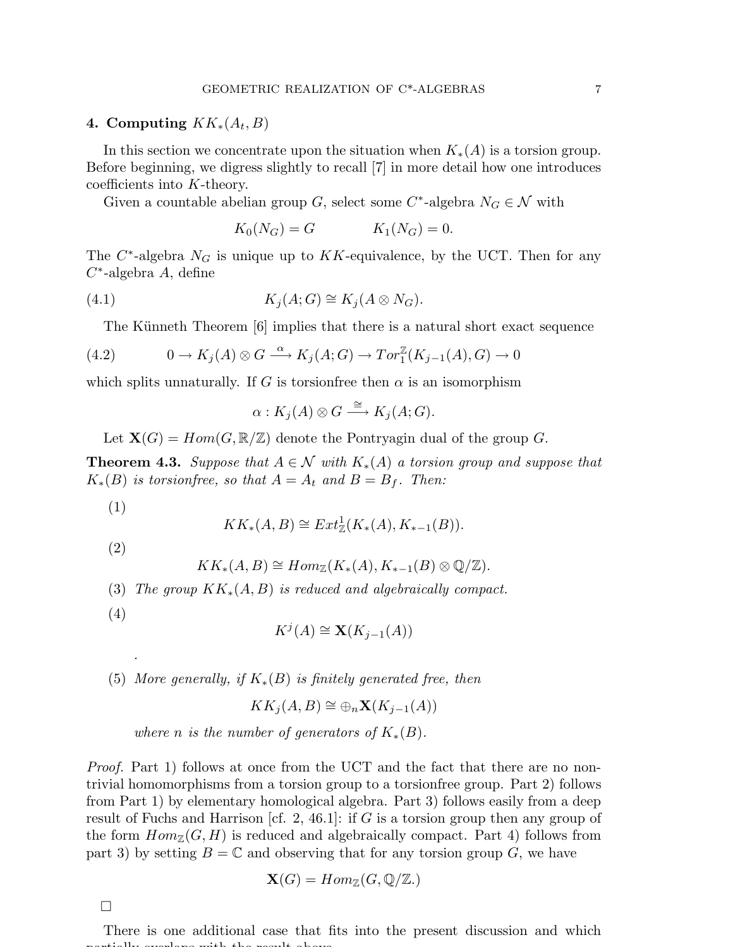## 4. Computing  $KK_*(A_t, B)$

In this section we concentrate upon the situation when  $K_*(A)$  is a torsion group. Before beginning, we digress slightly to recall [7] in more detail how one introduces coefficients into K-theory.

Given a countable abelian group G, select some  $C^*$ -algebra  $N_G \in \mathcal{N}$  with

$$
K_0(N_G) = G \qquad K_1(N_G) = 0.
$$

The  $C^*$ -algebra  $N_G$  is unique up to  $KK$ -equivalence, by the UCT. Then for any  $C^*$ -algebra A, define

(4.1) 
$$
K_j(A;G) \cong K_j(A \otimes N_G).
$$

The Künneth Theorem [6] implies that there is a natural short exact sequence

(4.2) 
$$
0 \to K_j(A) \otimes G \xrightarrow{\alpha} K_j(A;G) \to Tor_1^{\mathbb{Z}}(K_{j-1}(A),G) \to 0
$$

which splits unnaturally. If G is torsionfree then  $\alpha$  is an isomorphism

$$
\alpha: K_j(A) \otimes G \stackrel{\cong}{\longrightarrow} K_j(A;G).
$$

Let  $\mathbf{X}(G) = Hom(G, \mathbb{R}/\mathbb{Z})$  denote the Pontryagin dual of the group G.

**Theorem 4.3.** Suppose that  $A \in \mathcal{N}$  with  $K_*(A)$  a torsion group and suppose that  $K_*(B)$  *is torsionfree, so that*  $A = A_t$  *and*  $B = B_f$ *. Then:* 

(1)

$$
KK_*(A, B) \cong Ext^1_{\mathbb{Z}}(K_*(A), K_{*-1}(B)).
$$

(2)

$$
KK_*(A, B) \cong Hom_{\mathbb{Z}}(K_*(A), K_{*-1}(B) \otimes \mathbb{Q}/\mathbb{Z}).
$$

- (3) *The group* KK∗(A, B) *is reduced and algebraically compact.*
- (4)

*.*

$$
K^j(A) \cong \mathbf{X}(K_{j-1}(A))
$$

(5) *More generally, if* K∗(B) *is finitely generated free, then*

$$
KK_j(A, B) \cong \oplus_n \mathbf{X}(K_{j-1}(A))
$$

*where n is the number of generators of*  $K_*(B)$ *.* 

*Proof.* Part 1) follows at once from the UCT and the fact that there are no nontrivial homomorphisms from a torsion group to a torsionfree group. Part 2) follows from Part 1) by elementary homological algebra. Part 3) follows easily from a deep result of Fuchs and Harrison [cf. 2, 46.1]: if G is a torsion group then any group of the form  $Hom_{\mathbb{Z}}(G, H)$  is reduced and algebraically compact. Part 4) follows from part 3) by setting  $B = \mathbb{C}$  and observing that for any torsion group G, we have

$$
\mathbf{X}(G) = Hom_{\mathbb{Z}}(G, \mathbb{Q}/\mathbb{Z})
$$

 $\Box$ 

There is one additional case that fits into the present discussion and which partially overlaps with the result above.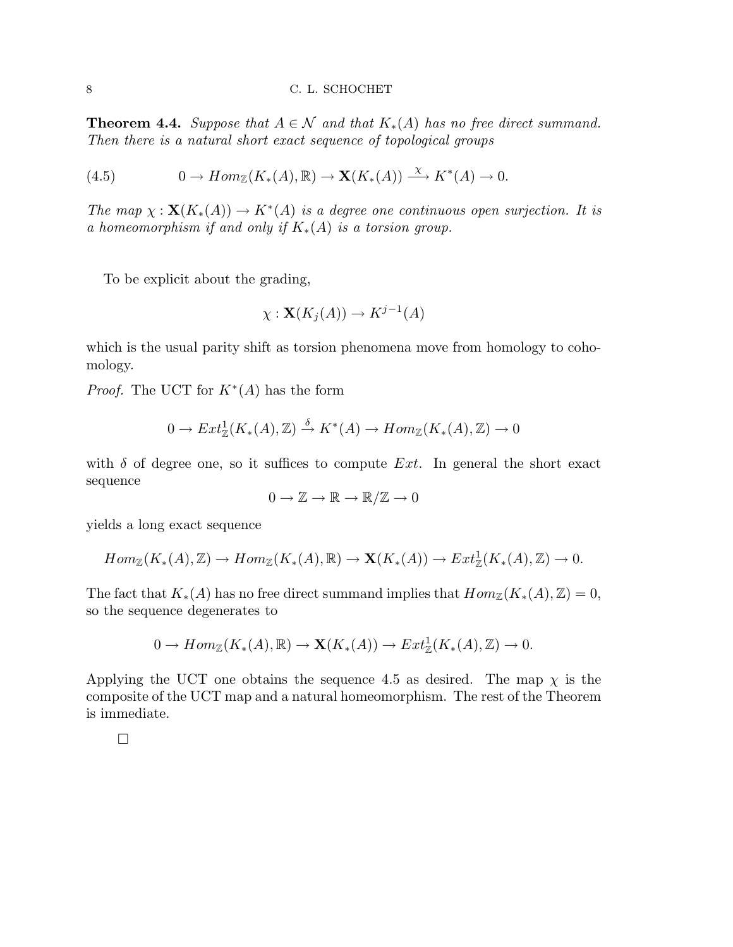#### 8 C. L. SCHOCHET

**Theorem 4.4.** *Suppose that*  $A \in \mathcal{N}$  *and that*  $K_*(A)$  *has no free direct summand. Then there is a natural short exact sequence of topological groups*

(4.5) 
$$
0 \to Hom_{\mathbb{Z}}(K_*(A), \mathbb{R}) \to \mathbf{X}(K_*(A)) \xrightarrow{\chi} K^*(A) \to 0.
$$

*The map*  $\chi$  :  $\mathbf{X}(K_*(A)) \to K^*(A)$  *is a degree one continuous open surjection. It is a homeomorphism if and only if* K∗(A) *is a torsion group.*

To be explicit about the grading,

$$
\chi: \mathbf{X}(K_j(A)) \to K^{j-1}(A)
$$

which is the usual parity shift as torsion phenomena move from homology to cohomology.

*Proof.* The UCT for  $K^*(A)$  has the form

$$
0 \to Ext^1_{\mathbb{Z}}(K_*(A), \mathbb{Z}) \stackrel{\delta}{\to} K^*(A) \to Hom_{\mathbb{Z}}(K_*(A), \mathbb{Z}) \to 0
$$

with  $\delta$  of degree one, so it suffices to compute Ext. In general the short exact sequence

$$
0 \to \mathbb{Z} \to \mathbb{R} \to \mathbb{R}/\mathbb{Z} \to 0
$$

yields a long exact sequence

$$
Hom_{\mathbb{Z}}(K_*(A),\mathbb{Z}) \to Hom_{\mathbb{Z}}(K_*(A),\mathbb{R}) \to \mathbf{X}(K_*(A)) \to Ext^1_{\mathbb{Z}}(K_*(A),\mathbb{Z}) \to 0.
$$

The fact that  $K_*(A)$  has no free direct summand implies that  $Hom_{\mathbb{Z}}(K_*(A), \mathbb{Z}) = 0$ , so the sequence degenerates to

$$
0 \to Hom_{\mathbb{Z}}(K_*(A), \mathbb{R}) \to \mathbf{X}(K_*(A)) \to Ext^1_{\mathbb{Z}}(K_*(A), \mathbb{Z}) \to 0.
$$

Applying the UCT one obtains the sequence 4.5 as desired. The map  $\chi$  is the composite of the UCT map and a natural homeomorphism. The rest of the Theorem is immediate.

 $\Box$